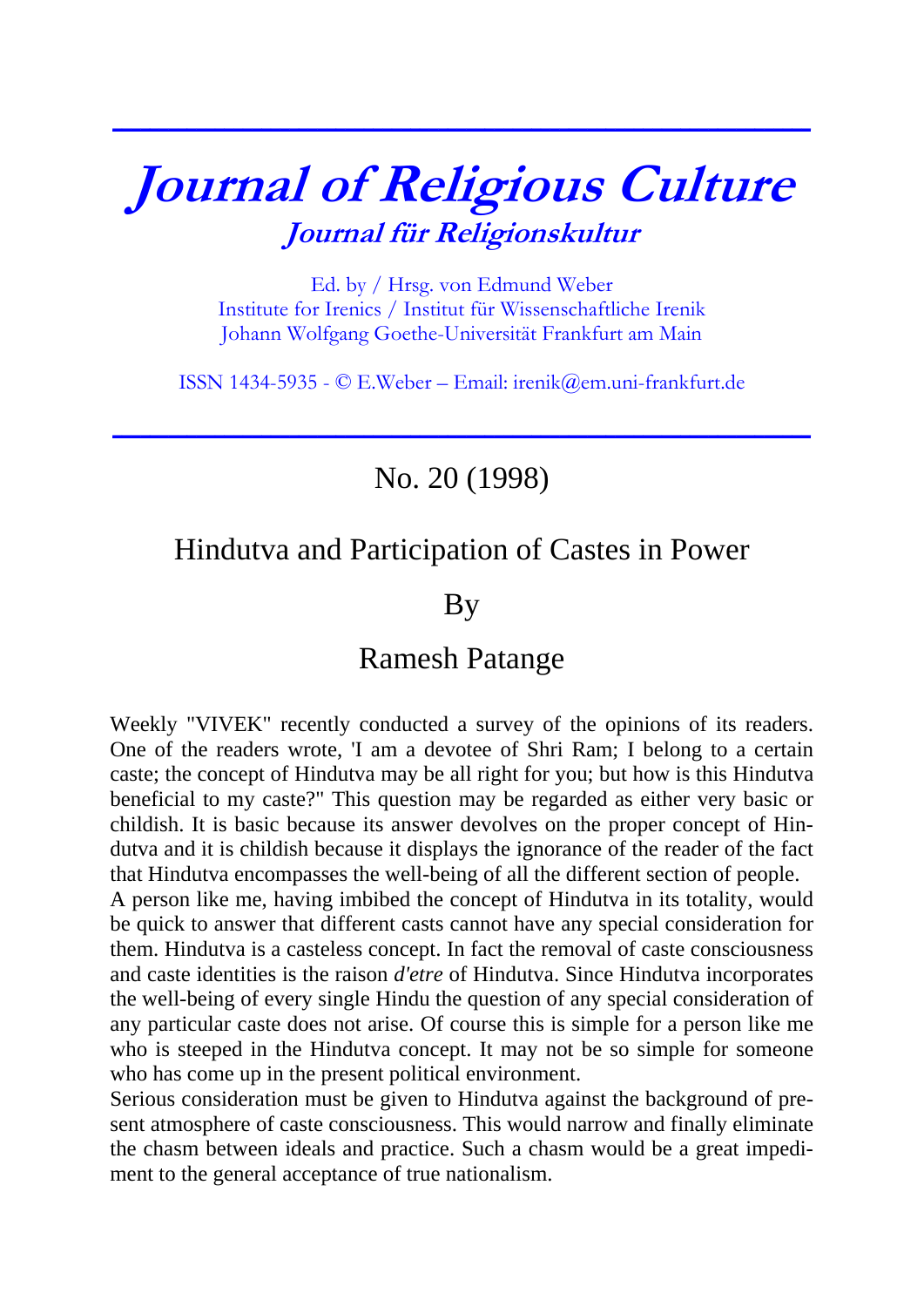# **Journal of Religious Culture Journal für Religionskultur**

**\_\_\_\_\_\_\_\_\_\_\_\_\_\_\_\_\_\_\_\_\_\_\_\_\_\_\_\_\_\_\_\_\_\_\_\_\_\_\_\_\_\_\_\_\_\_\_\_\_\_\_\_\_\_\_\_\_\_\_\_\_\_\_\_\_\_\_\_\_\_\_\_\_\_\_**

Ed. by / Hrsg. von Edmund Weber Institute for Irenics / Institut für Wissenschaftliche Irenik Johann Wolfgang Goethe-Universität Frankfurt am Main

ISSN 1434-5935 - © E.Weber – Email: [irenik@em.uni-frankfurt.de](mailto:irenik@em.uni-frankfurt.de)

**\_\_\_\_\_\_\_\_\_\_\_\_\_\_\_\_\_\_\_\_\_\_\_\_\_\_\_\_\_\_\_\_\_\_\_\_\_\_\_\_\_\_\_\_\_\_\_\_\_\_\_\_\_\_\_\_\_\_\_\_\_\_\_\_\_\_\_\_\_\_\_\_\_\_\_**

## No. 20 (1998)

## Hindutva and Participation of Castes in Power

## By

#### Ramesh Patange

Weekly "VIVEK" recently conducted a survey of the opinions of its readers. One of the readers wrote, 'I am a devotee of Shri Ram; I belong to a certain caste; the concept of Hindutva may be all right for you; but how is this Hindutva beneficial to my caste?" This question may be regarded as either very basic or childish. It is basic because its answer devolves on the proper concept of Hindutva and it is childish because it displays the ignorance of the reader of the fact that Hindutva encompasses the well-being of all the different section of people.

A person like me, having imbibed the concept of Hindutva in its totality, would be quick to answer that different casts cannot have any special consideration for them. Hindutva is a casteless concept. In fact the removal of caste consciousness and caste identities is the raison *d'etre* of Hindutva. Since Hindutva incorporates the well-being of every single Hindu the question of any special consideration of any particular caste does not arise. Of course this is simple for a person like me who is steeped in the Hindutva concept. It may not be so simple for someone who has come up in the present political environment.

Serious consideration must be given to Hindutva against the background of present atmosphere of caste consciousness. This would narrow and finally eliminate the chasm between ideals and practice. Such a chasm would be a great impediment to the general acceptance of true nationalism.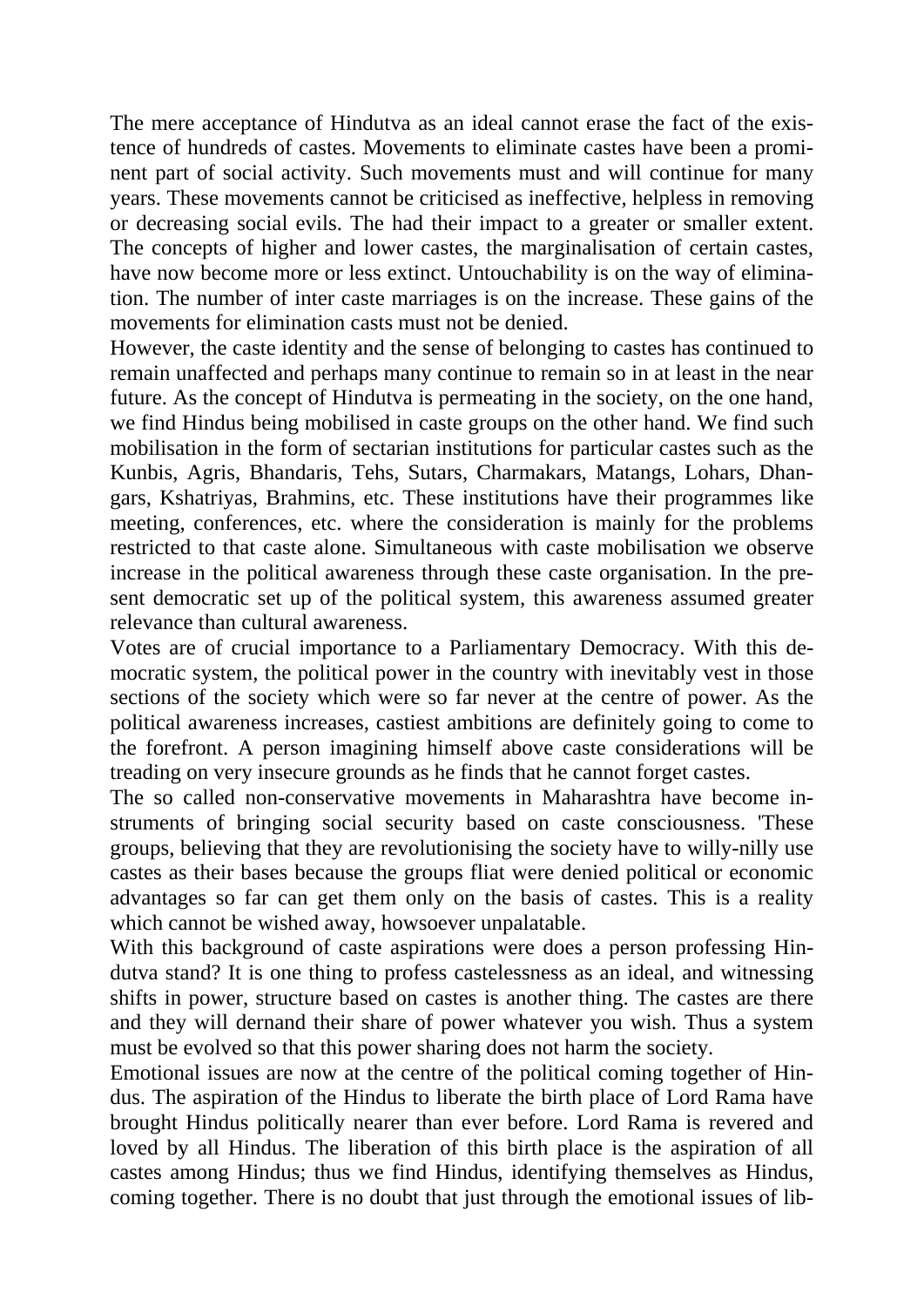The mere acceptance of Hindutva as an ideal cannot erase the fact of the existence of hundreds of castes. Movements to eliminate castes have been a prominent part of social activity. Such movements must and will continue for many years. These movements cannot be criticised as ineffective, helpless in removing or decreasing social evils. The had their impact to a greater or smaller extent. The concepts of higher and lower castes, the marginalisation of certain castes, have now become more or less extinct. Untouchability is on the way of elimination. The number of inter caste marriages is on the increase. These gains of the movements for elimination casts must not be denied.

However, the caste identity and the sense of belonging to castes has continued to remain unaffected and perhaps many continue to remain so in at least in the near future. As the concept of Hindutva is permeating in the society, on the one hand, we find Hindus being mobilised in caste groups on the other hand. We find such mobilisation in the form of sectarian institutions for particular castes such as the Kunbis, Agris, Bhandaris, Tehs, Sutars, Charmakars, Matangs, Lohars, Dhangars, Kshatriyas, Brahmins, etc. These institutions have their programmes like meeting, conferences, etc. where the consideration is mainly for the problems restricted to that caste alone. Simultaneous with caste mobilisation we observe increase in the political awareness through these caste organisation. In the present democratic set up of the political system, this awareness assumed greater relevance than cultural awareness.

Votes are of crucial importance to a Parliamentary Democracy. With this democratic system, the political power in the country with inevitably vest in those sections of the society which were so far never at the centre of power. As the political awareness increases, castiest ambitions are definitely going to come to the forefront. A person imagining himself above caste considerations will be treading on very insecure grounds as he finds that he cannot forget castes.

The so called non-conservative movements in Maharashtra have become instruments of bringing social security based on caste consciousness. 'These groups, believing that they are revolutionising the society have to willy-nilly use castes as their bases because the groups fliat were denied political or economic advantages so far can get them only on the basis of castes. This is a reality which cannot be wished away, howsoever unpalatable.

With this background of caste aspirations were does a person professing Hindutva stand? It is one thing to profess castelessness as an ideal, and witnessing shifts in power, structure based on castes is another thing. The castes are there and they will dernand their share of power whatever you wish. Thus a system must be evolved so that this power sharing does not harm the society.

Emotional issues are now at the centre of the political coming together of Hindus. The aspiration of the Hindus to liberate the birth place of Lord Rama have brought Hindus politically nearer than ever before. Lord Rama is revered and loved by all Hindus. The liberation of this birth place is the aspiration of all castes among Hindus; thus we find Hindus, identifying themselves as Hindus, coming together. There is no doubt that just through the emotional issues of lib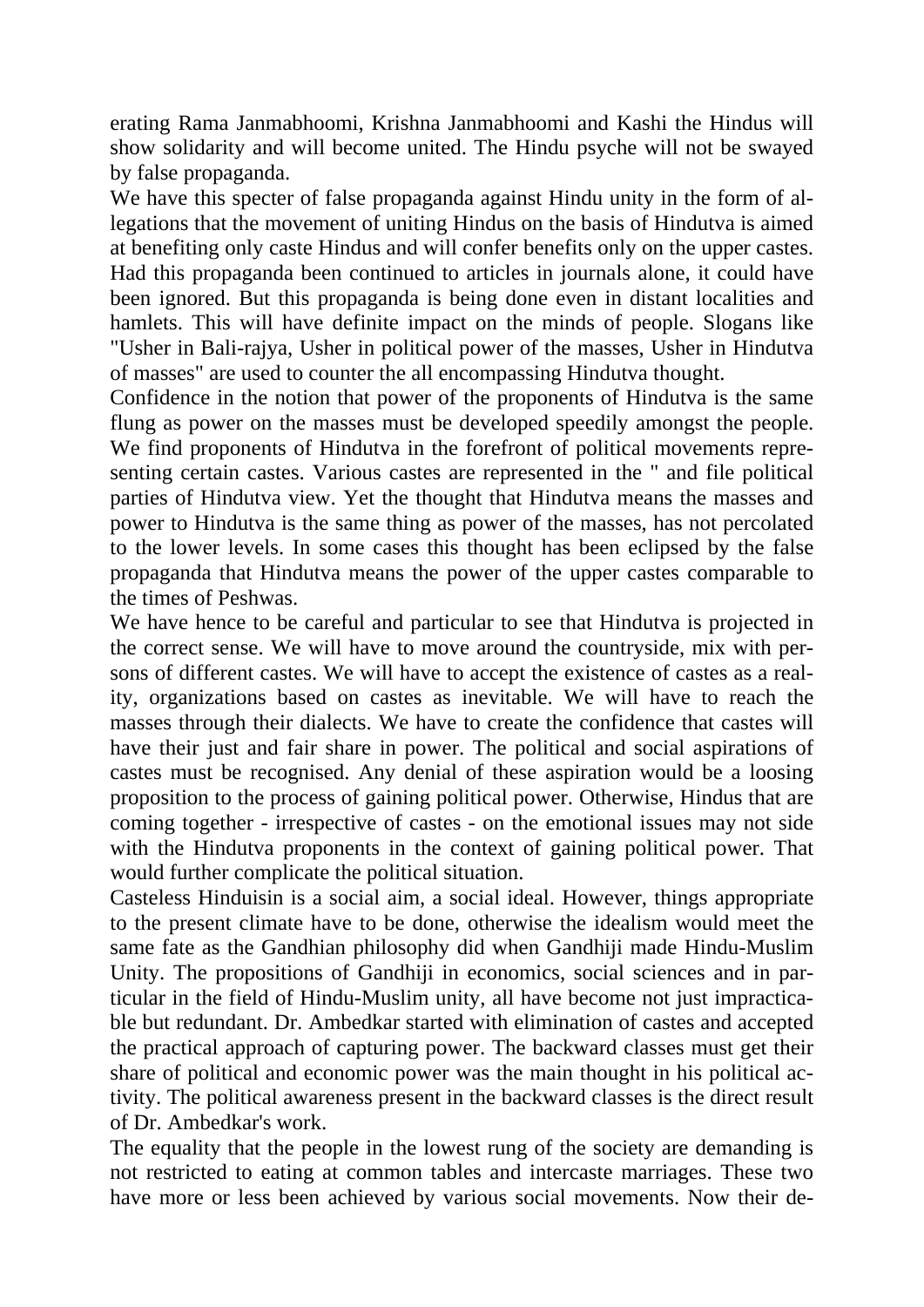erating Rama Janmabhoomi, Krishna Janmabhoomi and Kashi the Hindus will show solidarity and will become united. The Hindu psyche will not be swayed by false propaganda.

We have this specter of false propaganda against Hindu unity in the form of allegations that the movement of uniting Hindus on the basis of Hindutva is aimed at benefiting only caste Hindus and will confer benefits only on the upper castes. Had this propaganda been continued to articles in journals alone, it could have been ignored. But this propaganda is being done even in distant localities and hamlets. This will have definite impact on the minds of people. Slogans like "Usher in Bali-rajya, Usher in political power of the masses, Usher in Hindutva of masses" are used to counter the all encompassing Hindutva thought.

Confidence in the notion that power of the proponents of Hindutva is the same flung as power on the masses must be developed speedily amongst the people. We find proponents of Hindutva in the forefront of political movements representing certain castes. Various castes are represented in the " and file political parties of Hindutva view. Yet the thought that Hindutva means the masses and power to Hindutva is the same thing as power of the masses, has not percolated to the lower levels. In some cases this thought has been eclipsed by the false propaganda that Hindutva means the power of the upper castes comparable to the times of Peshwas.

We have hence to be careful and particular to see that Hindutva is projected in the correct sense. We will have to move around the countryside, mix with persons of different castes. We will have to accept the existence of castes as a reality, organizations based on castes as inevitable. We will have to reach the masses through their dialects. We have to create the confidence that castes will have their just and fair share in power. The political and social aspirations of castes must be recognised. Any denial of these aspiration would be a loosing proposition to the process of gaining political power. Otherwise, Hindus that are coming together - irrespective of castes - on the emotional issues may not side with the Hindutva proponents in the context of gaining political power. That would further complicate the political situation.

Casteless Hinduisin is a social aim, a social ideal. However, things appropriate to the present climate have to be done, otherwise the idealism would meet the same fate as the Gandhian philosophy did when Gandhiji made Hindu-Muslim Unity. The propositions of Gandhiji in economics, social sciences and in particular in the field of Hindu-Muslim unity, all have become not just impracticable but redundant. Dr. Ambedkar started with elimination of castes and accepted the practical approach of capturing power. The backward classes must get their share of political and economic power was the main thought in his political activity. The political awareness present in the backward classes is the direct result of Dr. Ambedkar's work.

The equality that the people in the lowest rung of the society are demanding is not restricted to eating at common tables and intercaste marriages. These two have more or less been achieved by various social movements. Now their de